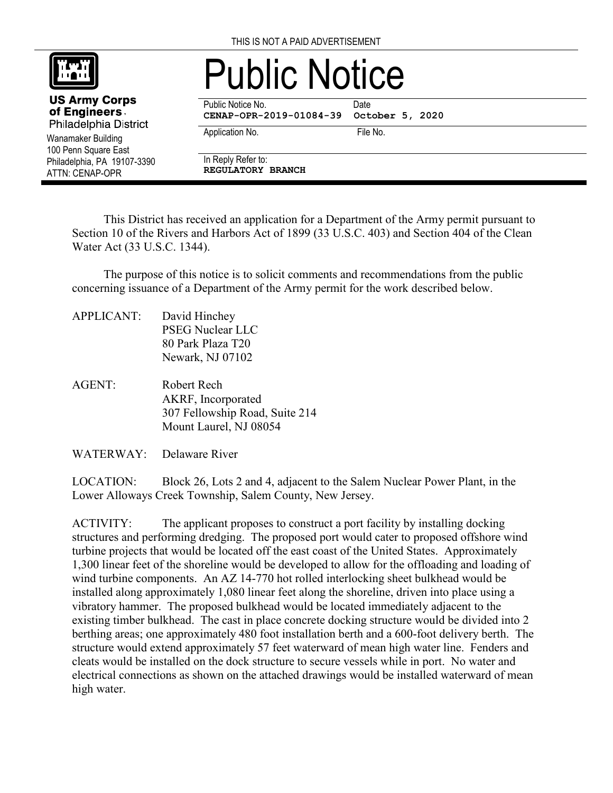

Wanamaker Building 100 Penn Square East Philadelphia, PA 19107-3390

**US Army Corps** of Engineers. Philadelphia District

ATTN: CENAP-OPR

## Public Notice

Public Notice No. **Date** 

**CENAP-OPR-2019-01084-39 October 5, 2020**

Application No. 6. The No. 6. The No.

In Reply Refer to:

**REGULATORY BRANCH**

This District has received an application for a Department of the Army permit pursuant to Section 10 of the Rivers and Harbors Act of 1899 (33 U.S.C. 403) and Section 404 of the Clean Water Act (33 U.S.C. 1344).

The purpose of this notice is to solicit comments and recommendations from the public concerning issuance of a Department of the Army permit for the work described below.

- APPLICANT: David Hinchey PSEG Nuclear LLC 80 Park Plaza T20 Newark, NJ 07102
- AGENT: Robert Rech AKRF, Incorporated 307 Fellowship Road, Suite 214 Mount Laurel, NJ 08054

WATERWAY: Delaware River

LOCATION: Block 26, Lots 2 and 4, adjacent to the Salem Nuclear Power Plant, in the Lower Alloways Creek Township, Salem County, New Jersey.

ACTIVITY: The applicant proposes to construct a port facility by installing docking structures and performing dredging. The proposed port would cater to proposed offshore wind turbine projects that would be located off the east coast of the United States. Approximately 1,300 linear feet of the shoreline would be developed to allow for the offloading and loading of wind turbine components. An AZ 14-770 hot rolled interlocking sheet bulkhead would be installed along approximately 1,080 linear feet along the shoreline, driven into place using a vibratory hammer. The proposed bulkhead would be located immediately adjacent to the existing timber bulkhead. The cast in place concrete docking structure would be divided into 2 berthing areas; one approximately 480 foot installation berth and a 600-foot delivery berth. The structure would extend approximately 57 feet waterward of mean high water line. Fenders and cleats would be installed on the dock structure to secure vessels while in port. No water and electrical connections as shown on the attached drawings would be installed waterward of mean high water.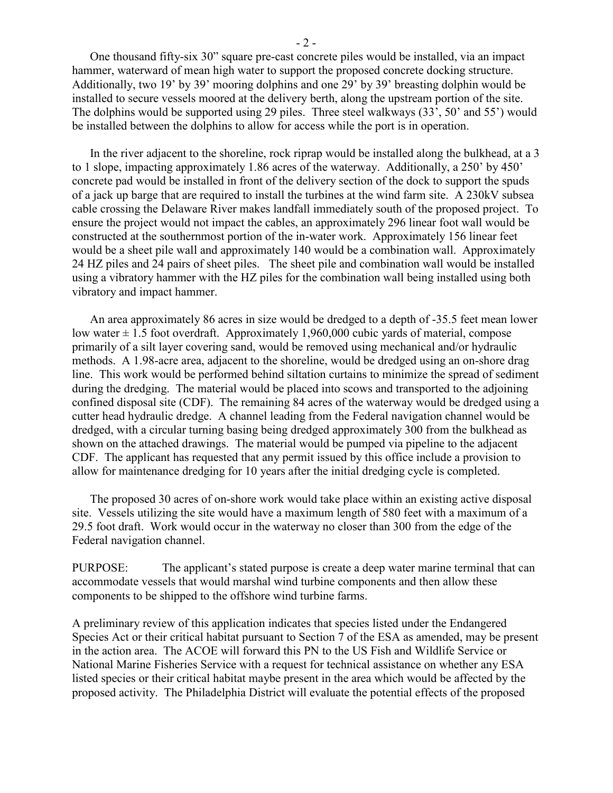One thousand fifty-six 30" square pre-cast concrete piles would be installed, via an impact hammer, waterward of mean high water to support the proposed concrete docking structure. Additionally, two 19' by 39' mooring dolphins and one 29' by 39' breasting dolphin would be installed to secure vessels moored at the delivery berth, along the upstream portion of the site. The dolphins would be supported using 29 piles. Three steel walkways (33', 50' and 55') would be installed between the dolphins to allow for access while the port is in operation.

In the river adjacent to the shoreline, rock riprap would be installed along the bulkhead, at a 3 to 1 slope, impacting approximately 1.86 acres of the waterway. Additionally, a 250' by 450' concrete pad would be installed in front of the delivery section of the dock to support the spuds of a jack up barge that are required to install the turbines at the wind farm site. A 230kV subsea cable crossing the Delaware River makes landfall immediately south of the proposed project. To ensure the project would not impact the cables, an approximately 296 linear foot wall would be constructed at the southernmost portion of the in-water work. Approximately 156 linear feet would be a sheet pile wall and approximately 140 would be a combination wall. Approximately 24 HZ piles and 24 pairs of sheet piles. The sheet pile and combination wall would be installed using a vibratory hammer with the HZ piles for the combination wall being installed using both vibratory and impact hammer.

An area approximately 86 acres in size would be dredged to a depth of -35.5 feet mean lower low water  $\pm$  1.5 foot overdraft. Approximately 1,960,000 cubic yards of material, compose primarily of a silt layer covering sand, would be removed using mechanical and/or hydraulic methods. A 1.98-acre area, adjacent to the shoreline, would be dredged using an on-shore drag line. This work would be performed behind siltation curtains to minimize the spread of sediment during the dredging. The material would be placed into scows and transported to the adjoining confined disposal site (CDF). The remaining 84 acres of the waterway would be dredged using a cutter head hydraulic dredge. A channel leading from the Federal navigation channel would be dredged, with a circular turning basing being dredged approximately 300 from the bulkhead as shown on the attached drawings. The material would be pumped via pipeline to the adjacent CDF. The applicant has requested that any permit issued by this office include a provision to allow for maintenance dredging for 10 years after the initial dredging cycle is completed.

The proposed 30 acres of on-shore work would take place within an existing active disposal site. Vessels utilizing the site would have a maximum length of 580 feet with a maximum of a 29.5 foot draft. Work would occur in the waterway no closer than 300 from the edge of the Federal navigation channel.

PURPOSE: The applicant's stated purpose is create a deep water marine terminal that can accommodate vessels that would marshal wind turbine components and then allow these components to be shipped to the offshore wind turbine farms.

A preliminary review of this application indicates that species listed under the Endangered Species Act or their critical habitat pursuant to Section 7 of the ESA as amended, may be present in the action area. The ACOE will forward this PN to the US Fish and Wildlife Service or National Marine Fisheries Service with a request for technical assistance on whether any ESA listed species or their critical habitat maybe present in the area which would be affected by the proposed activity. The Philadelphia District will evaluate the potential effects of the proposed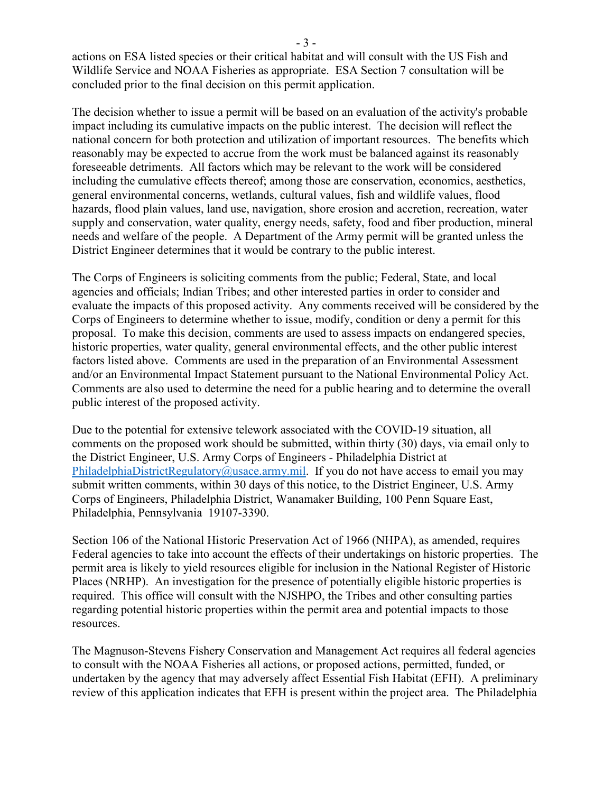actions on ESA listed species or their critical habitat and will consult with the US Fish and Wildlife Service and NOAA Fisheries as appropriate. ESA Section 7 consultation will be concluded prior to the final decision on this permit application.

The decision whether to issue a permit will be based on an evaluation of the activity's probable impact including its cumulative impacts on the public interest. The decision will reflect the national concern for both protection and utilization of important resources. The benefits which reasonably may be expected to accrue from the work must be balanced against its reasonably foreseeable detriments. All factors which may be relevant to the work will be considered including the cumulative effects thereof; among those are conservation, economics, aesthetics, general environmental concerns, wetlands, cultural values, fish and wildlife values, flood hazards, flood plain values, land use, navigation, shore erosion and accretion, recreation, water supply and conservation, water quality, energy needs, safety, food and fiber production, mineral needs and welfare of the people. A Department of the Army permit will be granted unless the District Engineer determines that it would be contrary to the public interest.

The Corps of Engineers is soliciting comments from the public; Federal, State, and local agencies and officials; Indian Tribes; and other interested parties in order to consider and evaluate the impacts of this proposed activity. Any comments received will be considered by the Corps of Engineers to determine whether to issue, modify, condition or deny a permit for this proposal. To make this decision, comments are used to assess impacts on endangered species, historic properties, water quality, general environmental effects, and the other public interest factors listed above. Comments are used in the preparation of an Environmental Assessment and/or an Environmental Impact Statement pursuant to the National Environmental Policy Act. Comments are also used to determine the need for a public hearing and to determine the overall public interest of the proposed activity.

Due to the potential for extensive telework associated with the COVID-19 situation, all comments on the proposed work should be submitted, within thirty (30) days, via email only to the District Engineer, U.S. Army Corps of Engineers - Philadelphia District at [PhiladelphiaDistrictRegulatory@usace.army.mil.](mailto:PhiladelphiaDistrictRegulatory@usace.army.mil) If you do not have access to email you may submit written comments, within 30 days of this notice, to the District Engineer, U.S. Army Corps of Engineers, Philadelphia District, Wanamaker Building, 100 Penn Square East, Philadelphia, Pennsylvania 19107-3390.

Section 106 of the National Historic Preservation Act of 1966 (NHPA), as amended, requires Federal agencies to take into account the effects of their undertakings on historic properties. The permit area is likely to yield resources eligible for inclusion in the National Register of Historic Places (NRHP). An investigation for the presence of potentially eligible historic properties is required. This office will consult with the NJSHPO, the Tribes and other consulting parties regarding potential historic properties within the permit area and potential impacts to those resources.

The Magnuson‐Stevens Fishery Conservation and Management Act requires all federal agencies to consult with the NOAA Fisheries all actions, or proposed actions, permitted, funded, or undertaken by the agency that may adversely affect Essential Fish Habitat (EFH). A preliminary review of this application indicates that EFH is present within the project area. The Philadelphia